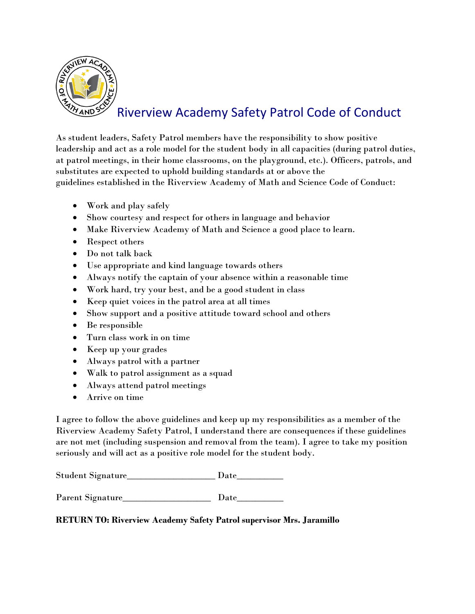

# Riverview Academy Safety Patrol Code of Conduct

As student leaders, Safety Patrol members have the responsibility to show positive leadership and act as a role model for the student body in all capacities (during patrol duties, at patrol meetings, in their home classrooms, on the playground, etc.). Officers, patrols, and substitutes are expected to uphold building standards at or above the guidelines established in the Riverview Academy of Math and Science Code of Conduct:

- Work and play safely
- Show courtesy and respect for others in language and behavior
- Make Riverview Academy of Math and Science a good place to learn.
- Respect others
- Do not talk back
- Use appropriate and kind language towards others
- Always notify the captain of your absence within a reasonable time
- Work hard, try your best, and be a good student in class
- Keep quiet voices in the patrol area at all times
- Show support and a positive attitude toward school and others
- Be responsible
- Turn class work in on time
- Keep up your grades
- Always patrol with a partner
- Walk to patrol assignment as a squad
- Always attend patrol meetings
- Arrive on time

I agree to follow the above guidelines and keep up my responsibilities as a member of the Riverview Academy Safety Patrol, I understand there are consequences if these guidelines are not met (including suspension and removal from the team). I agree to take my position seriously and will act as a positive role model for the student body.

Student Signature\_\_\_\_\_\_\_\_\_\_\_\_\_\_\_\_\_\_\_ Date\_\_\_\_\_\_\_\_\_\_

Parent Signature\_\_\_\_\_\_\_\_\_\_\_\_\_\_\_\_\_\_\_ Date\_\_\_\_\_\_\_\_\_\_

**RETURN TO: Riverview Academy Safety Patrol supervisor Mrs. Jaramillo**